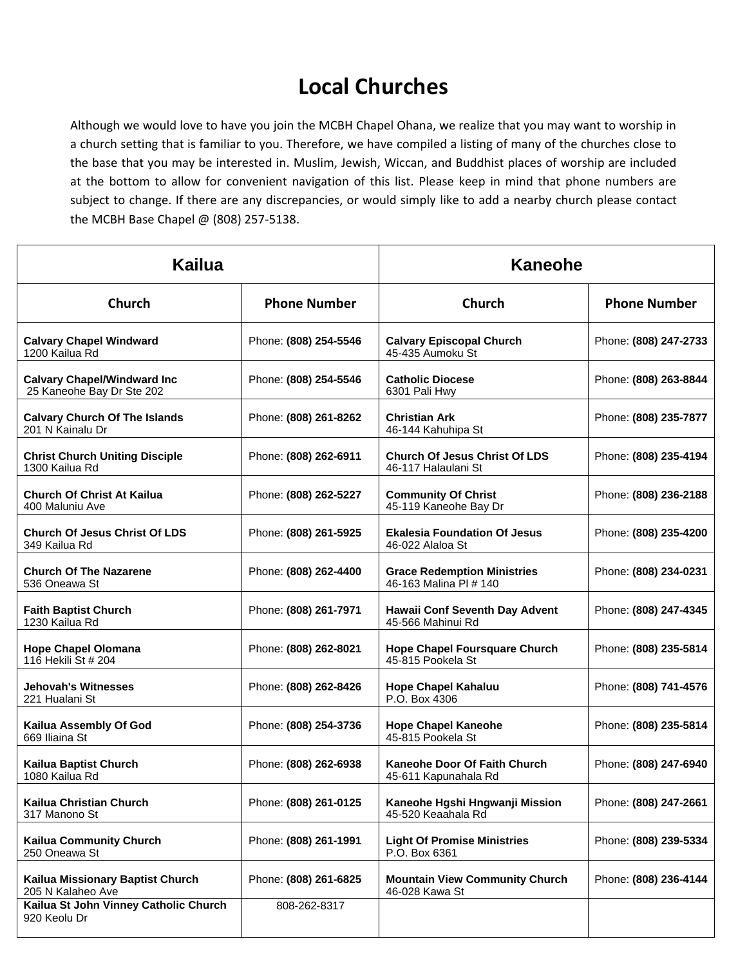## **Local Churches**

Although we would love to have you join the MCBH Chapel Ohana, we realize that you may want to worship in a church setting that is familiar to you. Therefore, we have compiled a listing of many of the churches close to the base that you may be interested in. Muslim, Jewish, Wiccan, and Buddhist places of worship are included at the bottom to allow for convenient navigation of this list. Please keep in mind that phone numbers are subject to change. If there are any discrepancies, or would simply like to add a nearby church please contact the MCBH Base Chapel @ (808) 257-5138.

| Kailua                                                          |                       | <b>Kaneohe</b>                                               |                       |
|-----------------------------------------------------------------|-----------------------|--------------------------------------------------------------|-----------------------|
| <b>Church</b>                                                   | <b>Phone Number</b>   | <b>Church</b>                                                | <b>Phone Number</b>   |
| <b>Calvary Chapel Windward</b><br>1200 Kailua Rd                | Phone: (808) 254-5546 | <b>Calvary Episcopal Church</b><br>45-435 Aumoku St          | Phone: (808) 247-2733 |
| <b>Calvary Chapel/Windward Inc</b><br>25 Kaneohe Bay Dr Ste 202 | Phone: (808) 254-5546 | <b>Catholic Diocese</b><br>6301 Pali Hwy                     | Phone: (808) 263-8844 |
| <b>Calvary Church Of The Islands</b><br>201 N Kainalu Dr        | Phone: (808) 261-8262 | <b>Christian Ark</b><br>46-144 Kahuhipa St                   | Phone: (808) 235-7877 |
| <b>Christ Church Uniting Disciple</b><br>1300 Kailua Rd         | Phone: (808) 262-6911 | <b>Church Of Jesus Christ Of LDS</b><br>46-117 Halaulani St  | Phone: (808) 235-4194 |
| <b>Church Of Christ At Kailua</b><br>400 Maluniu Ave            | Phone: (808) 262-5227 | <b>Community Of Christ</b><br>45-119 Kaneohe Bay Dr          | Phone: (808) 236-2188 |
| <b>Church Of Jesus Christ Of LDS</b><br>349 Kailua Rd           | Phone: (808) 261-5925 | <b>Ekalesia Foundation Of Jesus</b><br>46-022 Alaloa St      | Phone: (808) 235-4200 |
| <b>Church Of The Nazarene</b><br>536 Oneawa St                  | Phone: (808) 262-4400 | <b>Grace Redemption Ministries</b><br>46-163 Malina PI # 140 | Phone: (808) 234-0231 |
| <b>Faith Baptist Church</b><br>1230 Kailua Rd                   | Phone: (808) 261-7971 | Hawaii Conf Seventh Day Advent<br>45-566 Mahinui Rd          | Phone: (808) 247-4345 |
| <b>Hope Chapel Olomana</b><br>116 Hekili St # 204               | Phone: (808) 262-8021 | <b>Hope Chapel Foursquare Church</b><br>45-815 Pookela St    | Phone: (808) 235-5814 |
| <b>Jehovah's Witnesses</b><br>221 Hualani St                    | Phone: (808) 262-8426 | <b>Hope Chapel Kahaluu</b><br>P.O. Box 4306                  | Phone: (808) 741-4576 |
| Kailua Assembly Of God<br>669 Iliaina St                        | Phone: (808) 254-3736 | <b>Hope Chapel Kaneohe</b><br>45-815 Pookela St              | Phone: (808) 235-5814 |
| Kailua Baptist Church<br>1080 Kailua Rd                         | Phone: (808) 262-6938 | Kaneohe Door Of Faith Church<br>45-611 Kapunahala Rd         | Phone: (808) 247-6940 |
| Kailua Christian Church<br>317 Manono St                        | Phone: (808) 261-0125 | Kaneohe Hgshi Hngwanji Mission<br>45-520 Keaahala Rd         | Phone: (808) 247-2661 |
| <b>Kailua Community Church</b><br>250 Oneawa St                 | Phone: (808) 261-1991 | <b>Light Of Promise Ministries</b><br>P.O. Box 6361          | Phone: (808) 239-5334 |
| Kailua Missionary Baptist Church<br>205 N Kalaheo Ave           | Phone: (808) 261-6825 | <b>Mountain View Community Church</b><br>46-028 Kawa St      | Phone: (808) 236-4144 |
| Kailua St John Vinney Catholic Church<br>920 Keolu Dr           | 808-262-8317          |                                                              |                       |